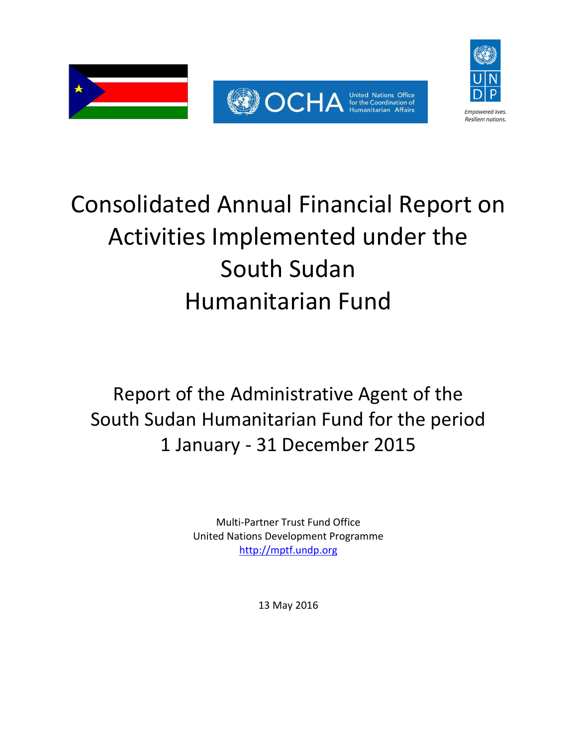



# Report of the Administrative Agent of the South Sudan Humanitarian Fund for the period 1 January - 31 December 2015

Multi-Partner Trust Fund Office United Nations Development Programme [http://mptf.undp.org](http://mptf.undp.org/) 

13 May 2016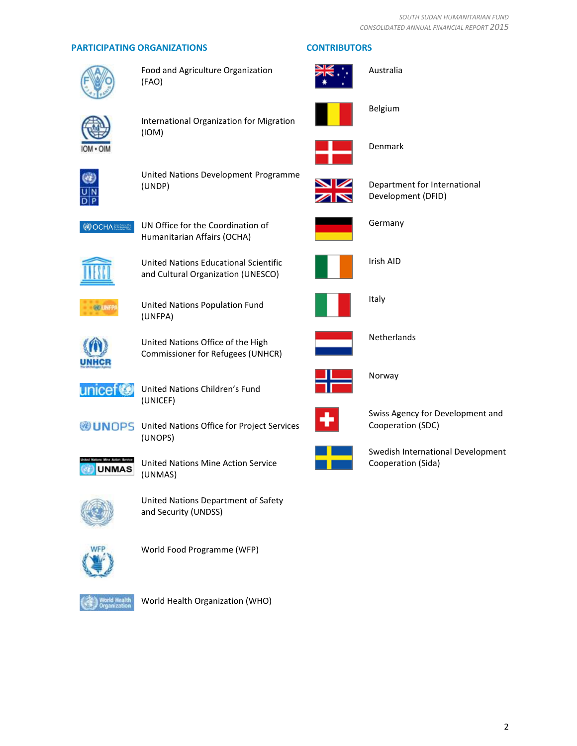#### **PARTICIPATING ORGANIZATIONS CONTRIBUTORS**



Food and Agriculture Organization (FAO)



International Organization for Migration (IOM)



United Nations Development Programme (UNDP)



Department for International Development (DFID)



UN Office for the Coordination of Humanitarian Affairs (OCHA)



United Nations Educational Scientific and Cultural Organization (UNESCO)



United Nations Population Fund (UNFPA)



United Nations Office of the High Commissioner for Refugees (UNHCR)



United Nations Children's Fund (UNICEF)



**UNOPS** United Nations Office for Project Services (UNOPS)



United Nations Mine Action Service (UNMAS)



United Nations Department of Safety and Security (UNDSS)



World Food Programme (WFP)



World Health Organization (WHO)



Germany

Australia

Belgium

Denmark



Irish AID



Italy



Netherlands



Norway



Swiss Agency for Development and Cooperation (SDC)



Swedish International Development Cooperation (Sida)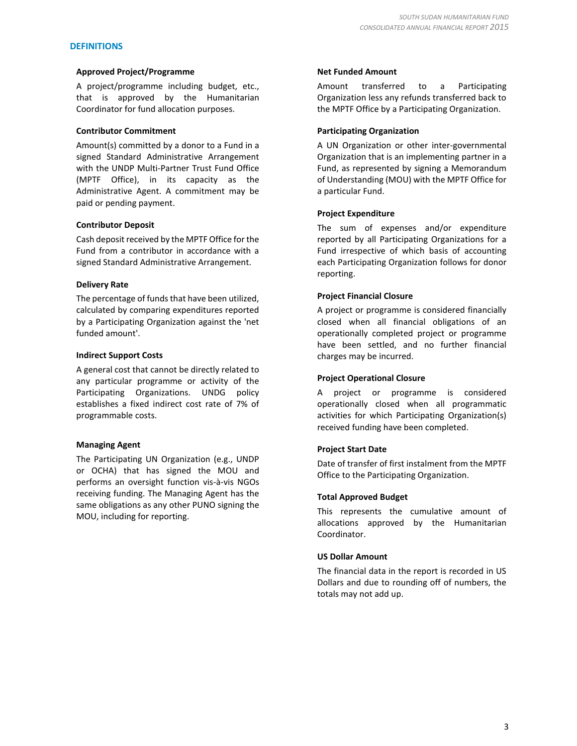#### **DEFINITIONS**

#### **Approved Project/Programme**

A project/programme including budget, etc., that is approved by the Humanitarian Coordinator for fund allocation purposes.

#### **Contributor Commitment**

Amount(s) committed by a donor to a Fund in a signed Standard Administrative Arrangement with the UNDP Multi-Partner Trust Fund Office (MPTF Office), in its capacity as the Administrative Agent. A commitment may be paid or pending payment.

#### **Contributor Deposit**

Cash deposit received by the MPTF Office for the Fund from a contributor in accordance with a signed Standard Administrative Arrangement.

#### **Delivery Rate**

The percentage of funds that have been utilized, calculated by comparing expenditures reported by a Participating Organization against the 'net funded amount'.

#### **Indirect Support Costs**

A general cost that cannot be directly related to any particular programme or activity of the Participating Organizations. UNDG policy establishes a fixed indirect cost rate of 7% of programmable costs.

#### **Managing Agent**

The Participating UN Organization (e.g., UNDP or OCHA) that has signed the MOU and performs an oversight function vis-à-vis NGOs receiving funding. The Managing Agent has the same obligations as any other PUNO signing the MOU, including for reporting.

#### **Net Funded Amount**

Amount transferred to a Participating Organization less any refunds transferred back to the MPTF Office by a Participating Organization.

#### **Participating Organization**

A UN Organization or other inter-governmental Organization that is an implementing partner in a Fund, as represented by signing a Memorandum of Understanding (MOU) with the MPTF Office for a particular Fund.

#### **Project Expenditure**

The sum of expenses and/or expenditure reported by all Participating Organizations for a Fund irrespective of which basis of accounting each Participating Organization follows for donor reporting.

#### **Project Financial Closure**

A project or programme is considered financially closed when all financial obligations of an operationally completed project or programme have been settled, and no further financial charges may be incurred.

#### **Project Operational Closure**

A project or programme is considered operationally closed when all programmatic activities for which Participating Organization(s) received funding have been completed.

#### **Project Start Date**

Date of transfer of first instalment from the MPTF Office to the Participating Organization.

#### **Total Approved Budget**

This represents the cumulative amount of allocations approved by the Humanitarian Coordinator.

#### **US Dollar Amount**

The financial data in the report is recorded in US Dollars and due to rounding off of numbers, the totals may not add up.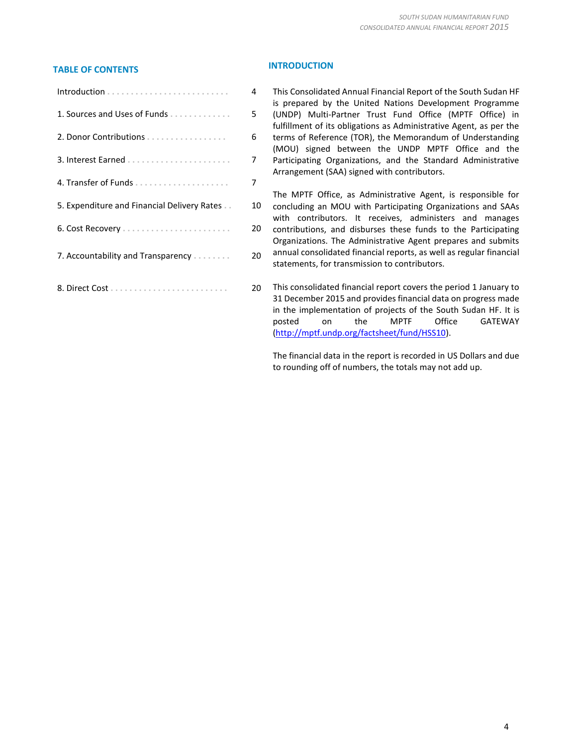## **TABLE OF CONTENTS INTRODUCTION**

|                                             | 4  |
|---------------------------------------------|----|
| 1. Sources and Uses of Funds                | 5. |
| 2. Donor Contributions                      | 6  |
|                                             | 7  |
|                                             | 7  |
| 5. Expenditure and Financial Delivery Rates | 10 |
|                                             | 20 |
| 7. Accountability and Transparency          | 20 |
|                                             | 20 |

1 This Consolidated Annual Financial Report of the South Sudan HF is prepared by the United Nations Development Programme (UNDP) Multi-Partner Trust Fund Office (MPTF Office) in fulfillment of its obligations as Administrative Agent, as per the terms of Reference (TOR), the Memorandum of Understanding (MOU) signed between the UNDP MPTF Office and the Participating Organizations, and the Standard Administrative Arrangement (SAA) signed with contributors.

The MPTF Office, as Administrative Agent, is responsible for concluding an MOU with Participating Organizations and SAAs with contributors. It receives, administers and manages contributions, and disburses these funds to the Participating Organizations. The Administrative Agent prepares and submits annual consolidated financial reports, as well as regular financial statements, for transmission to contributors.

This consolidated financial report covers the period 1 January to 31 December 2015 and provides financial data on progress made in the implementation of projects of the South Sudan HF. It is posted on the MPTF Office GATEWAY [\(http://mptf.undp.org/factsheet/fund/HSS10\)](http://mptf.undp.org/factsheet/fund/HSS10).

The financial data in the report is recorded in US Dollars and due to rounding off of numbers, the totals may not add up.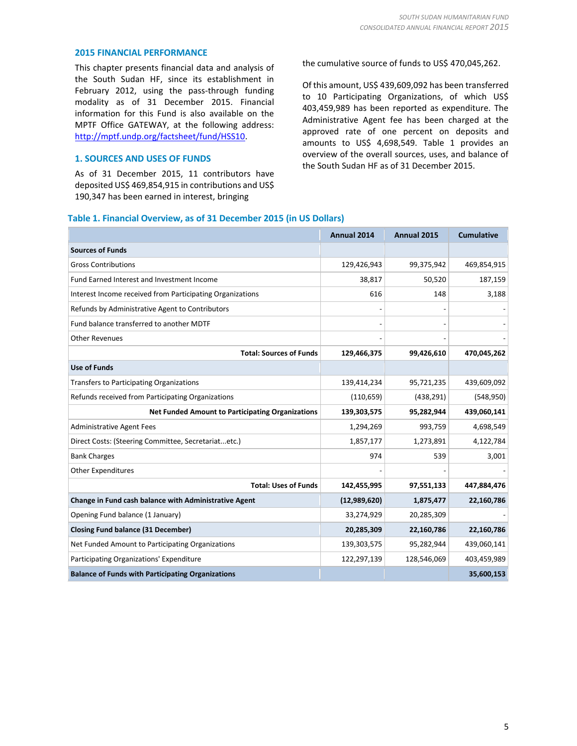#### **2015 FINANCIAL PERFORMANCE**

This chapter presents financial data and analysis of the South Sudan HF, since its establishment in February 2012, using the pass-through funding modality as of 31 December 2015. Financial information for this Fund is also available on the MPTF Office GATEWAY, at the following address: [http://mptf.undp.org/factsheet/fund/HSS10.](http://mptf.undp.org/factsheet/fund/HSS10)

#### **1. SOURCES AND USES OF FUNDS**

As of 31 December 2015, 11 contributors have deposited US\$ 469,854,915 in contributions and US\$ 190,347 has been earned in interest, bringing

the cumulative source of funds to US\$ 470,045,262.

Of this amount, US\$ 439,609,092 has been transferred to 10 Participating Organizations, of which US\$ 403,459,989 has been reported as expenditure. The Administrative Agent fee has been charged at the approved rate of one percent on deposits and amounts to US\$ 4,698,549. Table 1 provides an overview of the overall sources, uses, and balance of the South Sudan HF as of 31 December 2015.

#### **Table 1. Financial Overview, as of 31 December 2015 (in US Dollars)**

|                                                           | <b>Annual 2014</b> | Annual 2015 | <b>Cumulative</b> |
|-----------------------------------------------------------|--------------------|-------------|-------------------|
| <b>Sources of Funds</b>                                   |                    |             |                   |
| <b>Gross Contributions</b>                                | 129,426,943        | 99,375,942  | 469,854,915       |
| Fund Earned Interest and Investment Income                | 38,817             | 50,520      | 187,159           |
| Interest Income received from Participating Organizations | 616                | 148         | 3,188             |
| Refunds by Administrative Agent to Contributors           |                    |             |                   |
| Fund balance transferred to another MDTF                  |                    |             |                   |
| <b>Other Revenues</b>                                     |                    |             |                   |
| <b>Total: Sources of Funds</b>                            | 129,466,375        | 99,426,610  | 470,045,262       |
| <b>Use of Funds</b>                                       |                    |             |                   |
| <b>Transfers to Participating Organizations</b>           | 139,414,234        | 95,721,235  | 439,609,092       |
| Refunds received from Participating Organizations         | (110, 659)         | (438, 291)  | (548, 950)        |
| <b>Net Funded Amount to Participating Organizations</b>   | 139,303,575        | 95,282,944  | 439,060,141       |
| <b>Administrative Agent Fees</b>                          | 1,294,269          | 993,759     | 4,698,549         |
| Direct Costs: (Steering Committee, Secretariatetc.)       | 1,857,177          | 1,273,891   | 4,122,784         |
| <b>Bank Charges</b>                                       | 974                | 539         | 3,001             |
| <b>Other Expenditures</b>                                 |                    |             |                   |
| <b>Total: Uses of Funds</b>                               | 142,455,995        | 97,551,133  | 447,884,476       |
| Change in Fund cash balance with Administrative Agent     | (12,989,620)       | 1,875,477   | 22,160,786        |
| Opening Fund balance (1 January)                          | 33,274,929         | 20,285,309  |                   |
| <b>Closing Fund balance (31 December)</b>                 | 20,285,309         | 22,160,786  | 22,160,786        |
| Net Funded Amount to Participating Organizations          | 139,303,575        | 95,282,944  | 439,060,141       |
| Participating Organizations' Expenditure                  | 122,297,139        | 128,546,069 | 403,459,989       |
| <b>Balance of Funds with Participating Organizations</b>  |                    |             | 35,600,153        |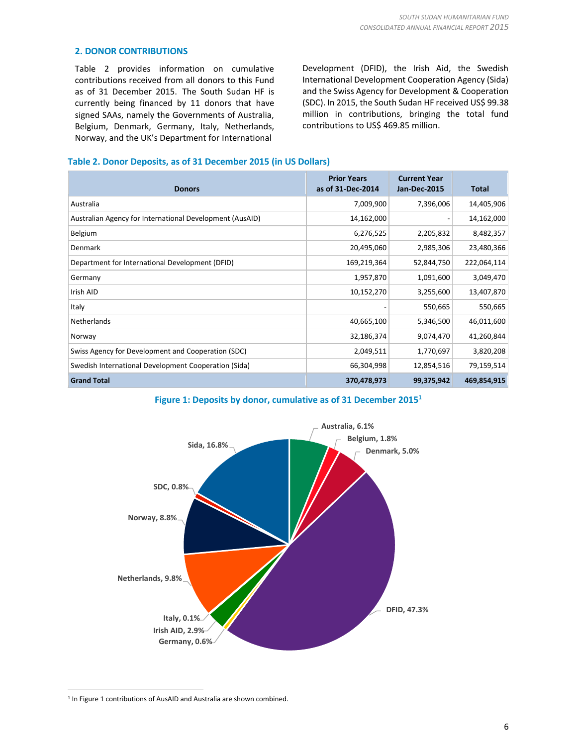#### **2. DONOR CONTRIBUTIONS**

Table 2 provides information on cumulative contributions received from all donors to this Fund as of 31 December 2015. The South Sudan HF is currently being financed by 11 donors that have signed SAAs, namely the Governments of Australia, Belgium, Denmark, Germany, Italy, Netherlands, Norway, and the UK's Department for International

Development (DFID), the Irish Aid, the Swedish International Development Cooperation Agency (Sida) and the Swiss Agency for Development & Cooperation (SDC). In 2015, the South Sudan HF received US\$ 99.38 million in contributions, bringing the total fund contributions to US\$ 469.85 million.

#### **Table 2. Donor Deposits, as of 31 December 2015 (in US Dollars)**

| <b>Donors</b>                                            | <b>Prior Years</b><br>as of 31-Dec-2014 | <b>Current Year</b><br><b>Jan-Dec-2015</b> | Total       |
|----------------------------------------------------------|-----------------------------------------|--------------------------------------------|-------------|
| Australia                                                | 7,009,900                               | 7,396,006                                  | 14,405,906  |
| Australian Agency for International Development (AusAID) | 14,162,000                              | -                                          | 14,162,000  |
| Belgium                                                  | 6,276,525                               | 2,205,832                                  | 8,482,357   |
| Denmark                                                  | 20,495,060                              | 2,985,306                                  | 23,480,366  |
| Department for International Development (DFID)          | 169,219,364                             | 52,844,750                                 | 222,064,114 |
| Germany                                                  | 1,957,870                               | 1,091,600                                  | 3,049,470   |
| Irish AID                                                | 10,152,270                              | 3,255,600                                  | 13,407,870  |
| Italy                                                    |                                         | 550,665                                    | 550,665     |
| Netherlands                                              | 40,665,100                              | 5,346,500                                  | 46,011,600  |
| Norway                                                   | 32,186,374                              | 9,074,470                                  | 41,260,844  |
| Swiss Agency for Development and Cooperation (SDC)       | 2,049,511                               | 1,770,697                                  | 3,820,208   |
| Swedish International Development Cooperation (Sida)     | 66,304,998                              | 12,854,516                                 | 79,159,514  |
| <b>Grand Total</b>                                       | 370,478,973                             | 99,375,942                                 | 469,854,915 |

**Figure 1: Deposits by donor, cumulative as of 31 December 2015<sup>1</sup>**



<sup>&</sup>lt;sup>1</sup> In Figure 1 contributions of AusAID and Australia are shown combined.

 $\overline{a}$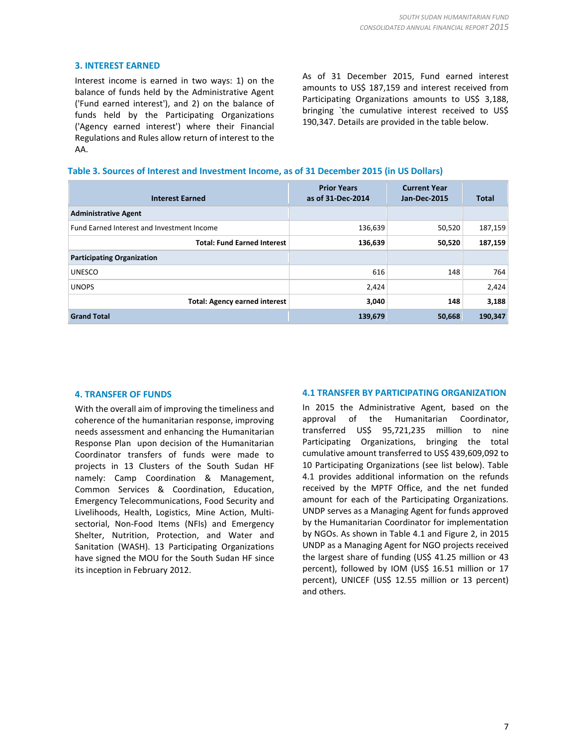#### **3. INTEREST EARNED**

Interest income is earned in two ways: 1) on the balance of funds held by the Administrative Agent ('Fund earned interest'), and 2) on the balance of funds held by the Participating Organizations ('Agency earned interest') where their Financial Regulations and Rules allow return of interest to the AA.

As of 31 December 2015, Fund earned interest amounts to US\$ 187,159 and interest received from Participating Organizations amounts to US\$ 3,188, bringing `the cumulative interest received to US\$ 190,347. Details are provided in the table below.

#### **Table 3. Sources of Interest and Investment Income, as of 31 December 2015 (in US Dollars)**

| <b>Interest Earned</b>                     | <b>Prior Years</b><br>as of 31-Dec-2014 | <b>Current Year</b><br><b>Jan-Dec-2015</b> | Total   |
|--------------------------------------------|-----------------------------------------|--------------------------------------------|---------|
| <b>Administrative Agent</b>                |                                         |                                            |         |
| Fund Earned Interest and Investment Income | 136,639                                 | 50,520                                     | 187,159 |
| <b>Total: Fund Earned Interest</b>         | 136,639                                 | 50,520                                     | 187,159 |
| <b>Participating Organization</b>          |                                         |                                            |         |
| <b>UNESCO</b>                              | 616                                     | 148                                        | 764     |
| <b>UNOPS</b>                               | 2,424                                   |                                            | 2,424   |
| <b>Total: Agency earned interest</b>       | 3,040                                   | 148                                        | 3,188   |
| <b>Grand Total</b>                         | 139,679                                 | 50,668                                     | 190,347 |

#### **4. TRANSFER OF FUNDS**

With the overall aim of improving the timeliness and coherence of the humanitarian response, improving needs assessment and enhancing the Humanitarian Response Plan upon decision of the Humanitarian Coordinator transfers of funds were made to projects in 13 Clusters of the South Sudan HF namely: Camp Coordination & Management, Common Services & Coordination, Education, Emergency Telecommunications, Food Security and Livelihoods, Health, Logistics, Mine Action, Multisectorial, Non-Food Items (NFIs) and Emergency Shelter, Nutrition, Protection, and Water and Sanitation (WASH). 13 Participating Organizations have signed the MOU for the South Sudan HF since its inception in February 2012.

#### **4.1 TRANSFER BY PARTICIPATING ORGANIZATION**

In 2015 the Administrative Agent, based on the approval of the Humanitarian Coordinator, transferred US\$ 95,721,235 million to nine Participating Organizations, bringing the total cumulative amount transferred to US\$ 439,609,092 to 10 Participating Organizations (see list below). Table 4.1 provides additional information on the refunds received by the MPTF Office, and the net funded amount for each of the Participating Organizations. UNDP serves as a Managing Agent for funds approved by the Humanitarian Coordinator for implementation by NGOs. As shown in Table 4.1 and Figure 2, in 2015 UNDP as a Managing Agent for NGO projects received the largest share of funding (US\$ 41.25 million or 43 percent), followed by IOM (US\$ 16.51 million or 17 percent), UNICEF (US\$ 12.55 million or 13 percent) and others.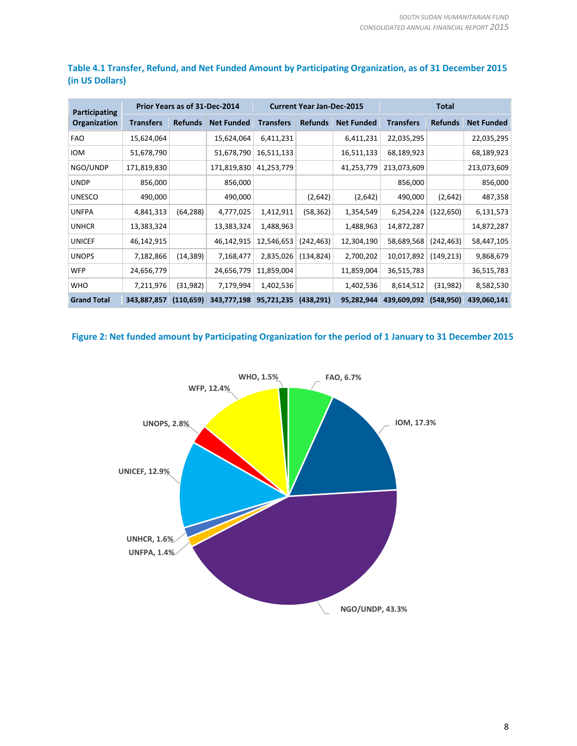| Participating      | Prior Years as of 31-Dec-2014 |                |                   | <b>Current Year Jan-Dec-2015</b> |                |                   | Total            |                |                   |
|--------------------|-------------------------------|----------------|-------------------|----------------------------------|----------------|-------------------|------------------|----------------|-------------------|
| Organization       | Transfers                     | <b>Refunds</b> | <b>Net Funded</b> | <b>Transfers</b>                 | <b>Refunds</b> | <b>Net Funded</b> | <b>Transfers</b> | <b>Refunds</b> | <b>Net Funded</b> |
| <b>FAO</b>         | 15,624,064                    |                | 15,624,064        | 6,411,231                        |                | 6,411,231         | 22,035,295       |                | 22,035,295        |
| <b>IOM</b>         | 51,678,790                    |                | 51,678,790        | 16,511,133                       |                | 16,511,133        | 68,189,923       |                | 68,189,923        |
| NGO/UNDP           | 171,819,830                   |                | 171,819,830       | 41,253,779                       |                | 41,253,779        | 213,073,609      |                | 213,073,609       |
| <b>UNDP</b>        | 856,000                       |                | 856,000           |                                  |                |                   | 856,000          |                | 856,000           |
| <b>UNESCO</b>      | 490,000                       |                | 490,000           |                                  | (2,642)        | (2,642)           | 490,000          | (2,642)        | 487,358           |
| <b>UNFPA</b>       | 4,841,313                     | (64, 288)      | 4,777,025         | 1,412,911                        | (58, 362)      | 1,354,549         | 6,254,224        | (122, 650)     | 6,131,573         |
| <b>UNHCR</b>       | 13,383,324                    |                | 13,383,324        | 1,488,963                        |                | 1,488,963         | 14,872,287       |                | 14,872,287        |
| <b>UNICEF</b>      | 46,142,915                    |                | 46,142,915        | 12,546,653                       | (242, 463)     | 12,304,190        | 58,689,568       | (242, 463)     | 58,447,105        |
| <b>UNOPS</b>       | 7,182,866                     | (14, 389)      | 7,168,477         | 2,835,026                        | (134, 824)     | 2,700,202         | 10,017,892       | (149, 213)     | 9,868,679         |
| <b>WFP</b>         | 24,656,779                    |                | 24,656,779        | 11,859,004                       |                | 11,859,004        | 36,515,783       |                | 36,515,783        |
| <b>WHO</b>         | 7,211,976                     | (31,982)       | 7,179,994         | 1,402,536                        |                | 1,402,536         | 8,614,512        | (31,982)       | 8,582,530         |
| <b>Grand Total</b> | 343,887,857                   | (110, 659)     | 343,777,198       | 95,721,235                       | (438, 291)     | 95,282,944        | 439,609,092      | (548, 950)     | 439,060,141       |

#### **Table 4.1 Transfer, Refund, and Net Funded Amount by Participating Organization, as of 31 December 2015 (in US Dollars)**

#### **Figure 2: Net funded amount by Participating Organization for the period of 1 January to 31 December 2015**

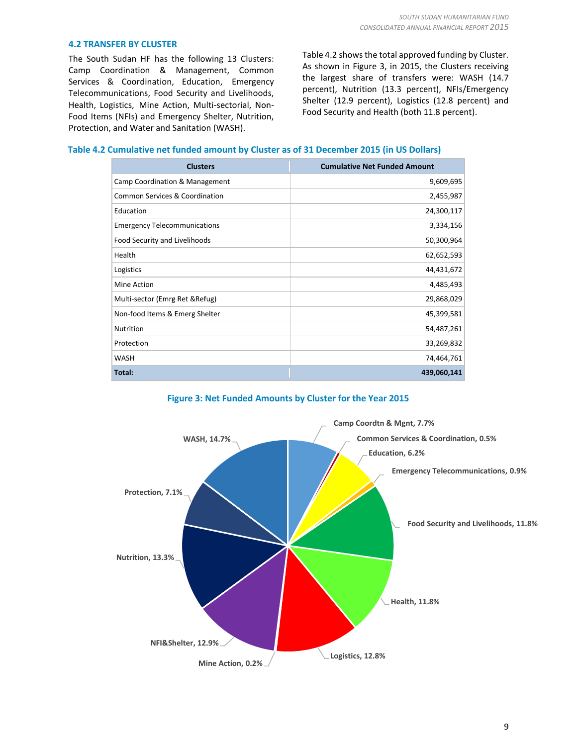#### **4.2 TRANSFER BY CLUSTER**

The South Sudan HF has the following 13 Clusters: Camp Coordination & Management, Common Services & Coordination, Education, Emergency Telecommunications, Food Security and Livelihoods, Health, Logistics, Mine Action, Multi-sectorial, Non-Food Items (NFIs) and Emergency Shelter, Nutrition, Protection, and Water and Sanitation (WASH).

Table 4.2 shows the total approved funding by Cluster. As shown in Figure 3, in 2015, the Clusters receiving the largest share of transfers were: WASH (14.7 percent), Nutrition (13.3 percent), NFIs/Emergency Shelter (12.9 percent), Logistics (12.8 percent) and Food Security and Health (both 11.8 percent).

#### **Table 4.2 Cumulative net funded amount by Cluster as of 31 December 2015 (in US Dollars)**

| <b>Clusters</b>                           | <b>Cumulative Net Funded Amount</b> |
|-------------------------------------------|-------------------------------------|
| Camp Coordination & Management            | 9,609,695                           |
| <b>Common Services &amp; Coordination</b> | 2,455,987                           |
| Education                                 | 24,300,117                          |
| <b>Emergency Telecommunications</b>       | 3,334,156                           |
| Food Security and Livelihoods             | 50,300,964                          |
| Health                                    | 62,652,593                          |
| Logistics                                 | 44,431,672                          |
| Mine Action                               | 4,485,493                           |
| Multi-sector (Emrg Ret & Refug)           | 29,868,029                          |
| Non-food Items & Emerg Shelter            | 45,399,581                          |
| <b>Nutrition</b>                          | 54,487,261                          |
| Protection                                | 33,269,832                          |
| <b>WASH</b>                               | 74,464,761                          |
| Total:                                    | 439,060,141                         |



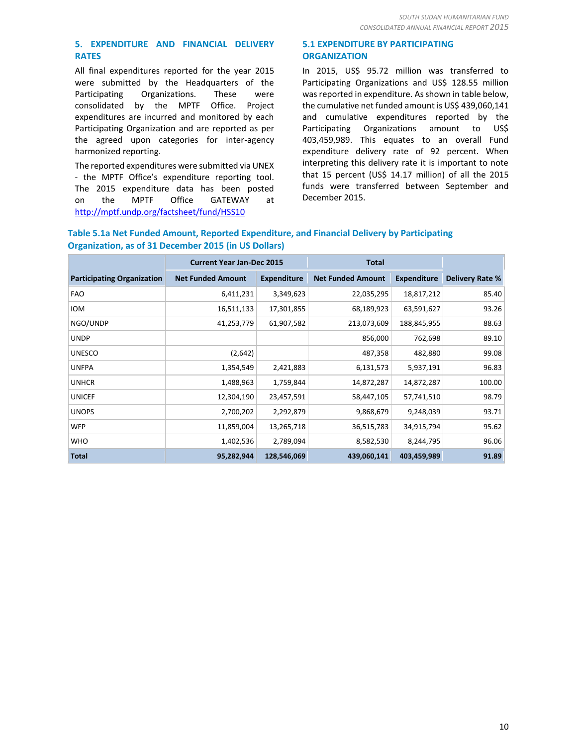#### **5. EXPENDITURE AND FINANCIAL DELIVERY RATES**

All final expenditures reported for the year 2015 were submitted by the Headquarters of the Participating Organizations. These were consolidated by the MPTF Office. Project expenditures are incurred and monitored by each Participating Organization and are reported as per the agreed upon categories for inter-agency harmonized reporting.

The reported expenditures were submitted via UNEX - the MPTF Office's expenditure reporting tool. The 2015 expenditure data has been posted on the MPTF Office GATEWAY at <http://mptf.undp.org/factsheet/fund/HSS10>

#### **5.1 EXPENDITURE BY PARTICIPATING ORGANIZATION**

In 2015, US\$ 95.72 million was transferred to Participating Organizations and US\$ 128.55 million was reported in expenditure. As shown in table below, the cumulative net funded amount is US\$ 439,060,141 and cumulative expenditures reported by the Participating Organizations amount to US\$ 403,459,989. This equates to an overall Fund expenditure delivery rate of 92 percent. When interpreting this delivery rate it is important to note that 15 percent (US\$ 14.17 million) of all the 2015 funds were transferred between September and December 2015.

#### **Table 5.1a Net Funded Amount, Reported Expenditure, and Financial Delivery by Participating Organization, as of 31 December 2015 (in US Dollars)**

|                                   | <b>Current Year Jan-Dec 2015</b> |                    | <b>Total</b>             |                    |                        |
|-----------------------------------|----------------------------------|--------------------|--------------------------|--------------------|------------------------|
| <b>Participating Organization</b> | <b>Net Funded Amount</b>         | <b>Expenditure</b> | <b>Net Funded Amount</b> | <b>Expenditure</b> | <b>Delivery Rate %</b> |
| <b>FAO</b>                        | 6,411,231                        | 3,349,623          | 22,035,295               | 18,817,212         | 85.40                  |
| <b>IOM</b>                        | 16,511,133                       | 17,301,855         | 68,189,923               | 63,591,627         | 93.26                  |
| NGO/UNDP                          | 41,253,779                       | 61,907,582         | 213,073,609              | 188,845,955        | 88.63                  |
| <b>UNDP</b>                       |                                  |                    | 856,000                  | 762,698            | 89.10                  |
| <b>UNESCO</b>                     | (2,642)                          |                    | 487,358                  | 482,880            | 99.08                  |
| <b>UNFPA</b>                      | 1,354,549                        | 2,421,883          | 6,131,573                | 5,937,191          | 96.83                  |
| <b>UNHCR</b>                      | 1,488,963                        | 1,759,844          | 14,872,287               | 14,872,287         | 100.00                 |
| <b>UNICEF</b>                     | 12,304,190                       | 23,457,591         | 58,447,105               | 57,741,510         | 98.79                  |
| <b>UNOPS</b>                      | 2,700,202                        | 2,292,879          | 9,868,679                | 9,248,039          | 93.71                  |
| <b>WFP</b>                        | 11,859,004                       | 13,265,718         | 36,515,783               | 34,915,794         | 95.62                  |
| <b>WHO</b>                        | 1,402,536                        | 2,789,094          | 8,582,530                | 8,244,795          | 96.06                  |
| <b>Total</b>                      | 95,282,944                       | 128,546,069        | 439,060,141              | 403,459,989        | 91.89                  |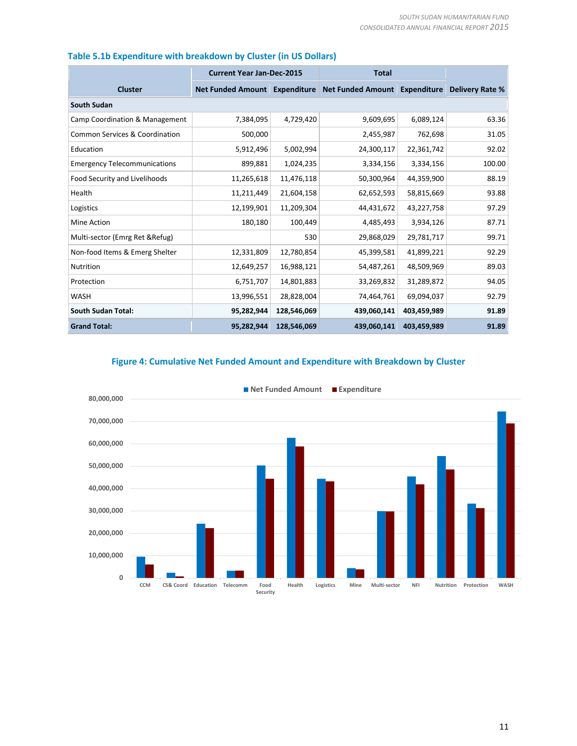|                                           | <b>Current Year Jan-Dec-2015</b> |             | <b>Total</b>                                                |             |                        |  |  |
|-------------------------------------------|----------------------------------|-------------|-------------------------------------------------------------|-------------|------------------------|--|--|
| <b>Cluster</b>                            |                                  |             | Net Funded Amount Expenditure Net Funded Amount Expenditure |             | <b>Delivery Rate %</b> |  |  |
| <b>South Sudan</b>                        |                                  |             |                                                             |             |                        |  |  |
| Camp Coordination & Management            | 7,384,095                        | 4,729,420   | 9,609,695                                                   | 6,089,124   | 63.36                  |  |  |
| <b>Common Services &amp; Coordination</b> | 500,000                          |             | 2,455,987                                                   | 762,698     | 31.05                  |  |  |
| Education                                 | 5,912,496                        | 5,002,994   | 24,300,117                                                  | 22,361,742  | 92.02                  |  |  |
| <b>Emergency Telecommunications</b>       | 899,881                          | 1,024,235   | 3,334,156                                                   | 3,334,156   | 100.00                 |  |  |
| Food Security and Livelihoods             | 11,265,618                       | 11,476,118  | 50,300,964                                                  | 44,359,900  | 88.19                  |  |  |
| Health                                    | 11,211,449                       | 21,604,158  | 62,652,593                                                  | 58,815,669  | 93.88                  |  |  |
| Logistics                                 | 12,199,901                       | 11,209,304  | 44,431,672                                                  | 43,227,758  | 97.29                  |  |  |
| Mine Action                               | 180,180                          | 100,449     | 4,485,493                                                   | 3,934,126   | 87.71                  |  |  |
| Multi-sector (Emrg Ret & Refug)           |                                  | 530         | 29,868,029                                                  | 29,781,717  | 99.71                  |  |  |
| Non-food Items & Emerg Shelter            | 12,331,809                       | 12,780,854  | 45,399,581                                                  | 41,899,221  | 92.29                  |  |  |
| Nutrition                                 | 12,649,257                       | 16,988,121  | 54,487,261                                                  | 48,509,969  | 89.03                  |  |  |
| Protection                                | 6,751,707                        | 14,801,883  | 33,269,832                                                  | 31,289,872  | 94.05                  |  |  |
| <b>WASH</b>                               | 13,996,551                       | 28,828,004  | 74,464,761                                                  | 69,094,037  | 92.79                  |  |  |
| <b>South Sudan Total:</b>                 | 95,282,944                       | 128,546,069 | 439,060,141                                                 | 403,459,989 | 91.89                  |  |  |
| <b>Grand Total:</b>                       | 95,282,944                       | 128,546,069 | 439,060,141                                                 | 403,459,989 | 91.89                  |  |  |

### **Table 5.1b Expenditure with breakdown by Cluster (in US Dollars)**

#### **Figure 4: Cumulative Net Funded Amount and Expenditure with Breakdown by Cluster**

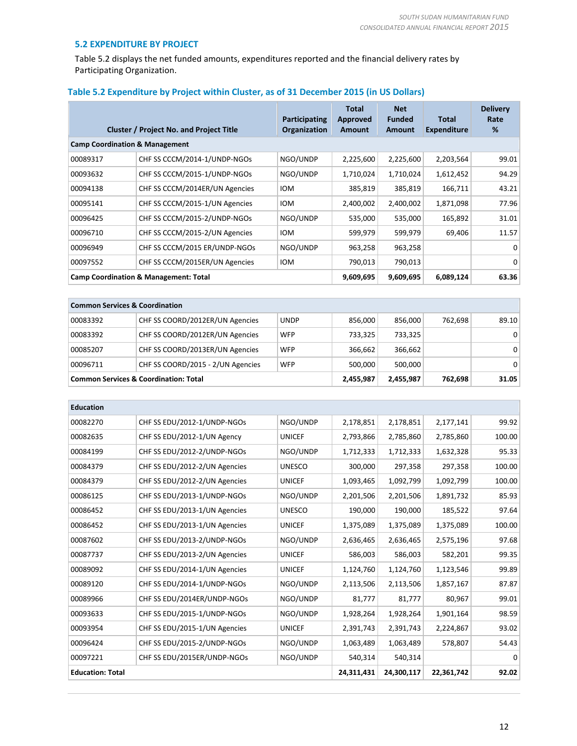#### **5.2 EXPENDITURE BY PROJECT**

Table 5.2 displays the net funded amounts, expenditures reported and the financial delivery rates by Participating Organization.

| Table 5.2 Expenditure by Project within Cluster, as of 31 December 2015 (in US Dollars) |  |  |  |  |
|-----------------------------------------------------------------------------------------|--|--|--|--|
|-----------------------------------------------------------------------------------------|--|--|--|--|

|                                                  | <b>Cluster / Project No. and Project Title</b> | Participating<br>Organization | <b>Total</b><br>Approved<br>Amount | <b>Net</b><br><b>Funded</b><br><b>Amount</b> | Total<br><b>Expenditure</b> | <b>Delivery</b><br>Rate<br>% |  |
|--------------------------------------------------|------------------------------------------------|-------------------------------|------------------------------------|----------------------------------------------|-----------------------------|------------------------------|--|
| <b>Camp Coordination &amp; Management</b>        |                                                |                               |                                    |                                              |                             |                              |  |
| 00089317                                         | CHF SS CCCM/2014-1/UNDP-NGOs                   | NGO/UNDP                      | 2,225,600                          | 2,225,600                                    | 2,203,564                   | 99.01                        |  |
| 00093632                                         | CHF SS CCCM/2015-1/UNDP-NGOs                   | NGO/UNDP                      | 1,710,024                          | 1,710,024                                    | 1,612,452                   | 94.29                        |  |
| 00094138                                         | CHF SS CCCM/2014ER/UN Agencies                 | <b>IOM</b>                    | 385,819                            | 385,819                                      | 166,711                     | 43.21                        |  |
| 00095141                                         | CHF SS CCCM/2015-1/UN Agencies                 | <b>IOM</b>                    | 2,400,002                          | 2,400,002                                    | 1,871,098                   | 77.96                        |  |
| 00096425                                         | CHF SS CCCM/2015-2/UNDP-NGOs                   | NGO/UNDP                      | 535,000                            | 535,000                                      | 165,892                     | 31.01                        |  |
| 00096710                                         | CHF SS CCCM/2015-2/UN Agencies                 | <b>IOM</b>                    | 599,979                            | 599,979                                      | 69,406                      | 11.57                        |  |
| 00096949                                         | CHF SS CCCM/2015 ER/UNDP-NGOs                  | NGO/UNDP                      | 963,258                            | 963,258                                      |                             | 0                            |  |
| 00097552                                         | CHF SS CCCM/2015ER/UN Agencies                 | <b>IOM</b>                    | 790,013                            | 790,013                                      |                             | 0                            |  |
| <b>Camp Coordination &amp; Management: Total</b> |                                                | 9,609,695                     | 9,609,695                          | 6,089,124                                    | 63.36                       |                              |  |

| <b>Common Services &amp; Coordination</b>        |                                   |             |           |         |         |                |  |
|--------------------------------------------------|-----------------------------------|-------------|-----------|---------|---------|----------------|--|
| 00083392                                         | CHF SS COORD/2012ER/UN Agencies   | <b>UNDP</b> | 856.000   | 856,000 | 762,698 | 89.10          |  |
| 00083392                                         | CHF SS COORD/2012ER/UN Agencies   | <b>WFP</b>  | 733,325   | 733,325 |         | 0 <sup>1</sup> |  |
| 00085207                                         | CHF SS COORD/2013ER/UN Agencies   | <b>WFP</b>  | 366,662   | 366,662 |         | $\overline{0}$ |  |
| 00096711                                         | CHF SS COORD/2015 - 2/UN Agencies | <b>WFP</b>  | 500.000   | 500,000 |         | $\overline{0}$ |  |
| <b>Common Services &amp; Coordination: Total</b> |                                   | 2,455,987   | 2,455,987 | 762,698 | 31.05   |                |  |

| <b>Education</b>        |                               |               |           |            |            |          |
|-------------------------|-------------------------------|---------------|-----------|------------|------------|----------|
| 00082270                | CHF SS EDU/2012-1/UNDP-NGOs   | NGO/UNDP      | 2,178,851 | 2,178,851  | 2,177,141  | 99.92    |
| 00082635                | CHF SS EDU/2012-1/UN Agency   | <b>UNICEF</b> | 2,793,866 | 2,785,860  | 2,785,860  | 100.00   |
| 00084199                | CHF SS EDU/2012-2/UNDP-NGOs   | NGO/UNDP      | 1,712,333 | 1,712,333  | 1,632,328  | 95.33    |
| 00084379                | CHF SS EDU/2012-2/UN Agencies | <b>UNESCO</b> | 300,000   | 297,358    | 297,358    | 100.00   |
| 00084379                | CHF SS EDU/2012-2/UN Agencies | <b>UNICEF</b> | 1,093,465 | 1,092,799  | 1,092,799  | 100.00   |
| 00086125                | CHF SS EDU/2013-1/UNDP-NGOs   | NGO/UNDP      | 2,201,506 | 2,201,506  | 1,891,732  | 85.93    |
| 00086452                | CHF SS EDU/2013-1/UN Agencies | <b>UNESCO</b> | 190,000   | 190,000    | 185,522    | 97.64    |
| 00086452                | CHF SS EDU/2013-1/UN Agencies | <b>UNICEF</b> | 1,375,089 | 1,375,089  | 1,375,089  | 100.00   |
| 00087602                | CHF SS EDU/2013-2/UNDP-NGOs   | NGO/UNDP      | 2,636,465 | 2,636,465  | 2,575,196  | 97.68    |
| 00087737                | CHF SS EDU/2013-2/UN Agencies | <b>UNICEF</b> | 586,003   | 586,003    | 582,201    | 99.35    |
| 00089092                | CHF SS EDU/2014-1/UN Agencies | <b>UNICEF</b> | 1,124,760 | 1,124,760  | 1,123,546  | 99.89    |
| 00089120                | CHF SS EDU/2014-1/UNDP-NGOs   | NGO/UNDP      | 2,113,506 | 2,113,506  | 1,857,167  | 87.87    |
| 00089966                | CHF SS EDU/2014ER/UNDP-NGOs   | NGO/UNDP      | 81,777    | 81,777     | 80,967     | 99.01    |
| 00093633                | CHF SS EDU/2015-1/UNDP-NGOs   | NGO/UNDP      | 1,928,264 | 1,928,264  | 1,901,164  | 98.59    |
| 00093954                | CHF SS EDU/2015-1/UN Agencies | <b>UNICEF</b> | 2,391,743 | 2,391,743  | 2,224,867  | 93.02    |
| 00096424                | CHF SS EDU/2015-2/UNDP-NGOs   | NGO/UNDP      | 1,063,489 | 1,063,489  | 578,807    | 54.43    |
| 00097221                | CHF SS EDU/2015ER/UNDP-NGOs   | NGO/UNDP      | 540,314   | 540,314    |            | $\Omega$ |
| <b>Education: Total</b> |                               |               |           | 24,300,117 | 22,361,742 | 92.02    |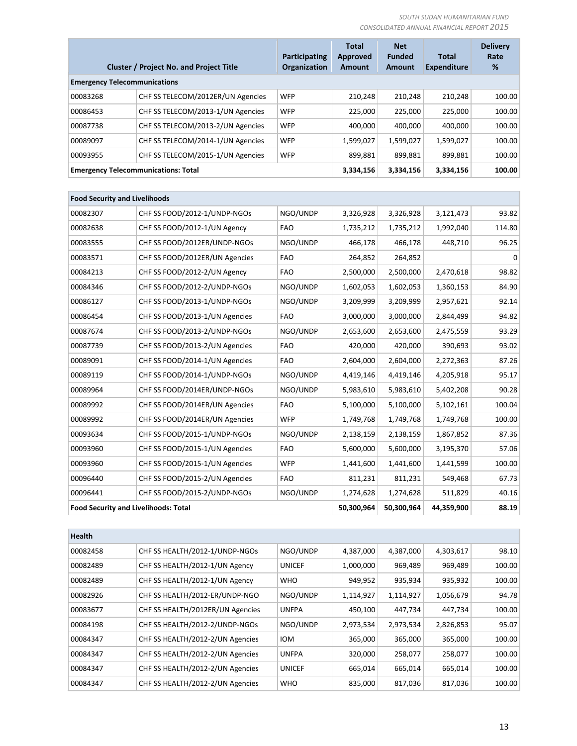|                                            | <b>Cluster / Project No. and Project Title</b> | Participating<br><b>Organization</b> | <b>Total</b><br>Approved<br><b>Amount</b> | <b>Net</b><br><b>Funded</b><br><b>Amount</b> | <b>Total</b><br><b>Expenditure</b> | <b>Delivery</b><br>Rate<br>% |
|--------------------------------------------|------------------------------------------------|--------------------------------------|-------------------------------------------|----------------------------------------------|------------------------------------|------------------------------|
| <b>Emergency Telecommunications</b>        |                                                |                                      |                                           |                                              |                                    |                              |
| 00083268                                   | CHF SS TELECOM/2012ER/UN Agencies              | <b>WFP</b>                           | 210.248                                   | 210.248                                      | 210.248                            | 100.00                       |
| 00086453                                   | CHF SS TELECOM/2013-1/UN Agencies              | <b>WFP</b>                           | 225.000                                   | 225,000                                      | 225,000                            | 100.00                       |
| 00087738                                   | CHF SS TELECOM/2013-2/UN Agencies              | <b>WFP</b>                           | 400.000                                   | 400.000                                      | 400,000                            | 100.00                       |
| 00089097                                   | CHF SS TELECOM/2014-1/UN Agencies              | <b>WFP</b>                           | 1,599,027                                 | 1,599,027                                    | 1,599,027                          | 100.00                       |
| 00093955                                   | CHF SS TELECOM/2015-1/UN Agencies              | <b>WFP</b>                           | 899.881                                   | 899,881                                      | 899,881                            | 100.00                       |
| <b>Emergency Telecommunications: Total</b> |                                                |                                      | 3,334,156                                 | 3,334,156                                    | 3,334,156                          | 100.00                       |

| <b>Food Security and Livelihoods</b>        |                                |            |            |            |            |          |
|---------------------------------------------|--------------------------------|------------|------------|------------|------------|----------|
| 00082307                                    | CHF SS FOOD/2012-1/UNDP-NGOs   | NGO/UNDP   | 3,326,928  | 3,326,928  | 3,121,473  | 93.82    |
| 00082638                                    | CHF SS FOOD/2012-1/UN Agency   | <b>FAO</b> | 1,735,212  | 1,735,212  | 1,992,040  | 114.80   |
| 00083555                                    | CHF SS FOOD/2012ER/UNDP-NGOs   | NGO/UNDP   | 466,178    | 466,178    | 448,710    | 96.25    |
| 00083571                                    | CHF SS FOOD/2012ER/UN Agencies | <b>FAO</b> | 264,852    | 264,852    |            | $\Omega$ |
| 00084213                                    | CHF SS FOOD/2012-2/UN Agency   | <b>FAO</b> | 2,500,000  | 2,500,000  | 2,470,618  | 98.82    |
| 00084346                                    | CHF SS FOOD/2012-2/UNDP-NGOs   | NGO/UNDP   | 1,602,053  | 1,602,053  | 1,360,153  | 84.90    |
| 00086127                                    | CHF SS FOOD/2013-1/UNDP-NGOs   | NGO/UNDP   | 3,209,999  | 3,209,999  | 2,957,621  | 92.14    |
| 00086454                                    | CHF SS FOOD/2013-1/UN Agencies | <b>FAO</b> | 3,000,000  | 3,000,000  | 2,844,499  | 94.82    |
| 00087674                                    | CHF SS FOOD/2013-2/UNDP-NGOs   | NGO/UNDP   | 2,653,600  | 2,653,600  | 2,475,559  | 93.29    |
| 00087739                                    | CHF SS FOOD/2013-2/UN Agencies | <b>FAO</b> | 420,000    | 420,000    | 390,693    | 93.02    |
| 00089091                                    | CHF SS FOOD/2014-1/UN Agencies | <b>FAO</b> | 2,604,000  | 2,604,000  | 2,272,363  | 87.26    |
| 00089119                                    | CHF SS FOOD/2014-1/UNDP-NGOs   | NGO/UNDP   | 4,419,146  | 4,419,146  | 4,205,918  | 95.17    |
| 00089964                                    | CHF SS FOOD/2014ER/UNDP-NGOs   | NGO/UNDP   | 5,983,610  | 5,983,610  | 5,402,208  | 90.28    |
| 00089992                                    | CHF SS FOOD/2014ER/UN Agencies | <b>FAO</b> | 5,100,000  | 5,100,000  | 5,102,161  | 100.04   |
| 00089992                                    | CHF SS FOOD/2014ER/UN Agencies | <b>WFP</b> | 1,749,768  | 1,749,768  | 1,749,768  | 100.00   |
| 00093634                                    | CHF SS FOOD/2015-1/UNDP-NGOs   | NGO/UNDP   | 2,138,159  | 2,138,159  | 1,867,852  | 87.36    |
| 00093960                                    | CHF SS FOOD/2015-1/UN Agencies | <b>FAO</b> | 5,600,000  | 5,600,000  | 3,195,370  | 57.06    |
| 00093960                                    | CHF SS FOOD/2015-1/UN Agencies | <b>WFP</b> | 1,441,600  | 1,441,600  | 1,441,599  | 100.00   |
| 00096440                                    | CHF SS FOOD/2015-2/UN Agencies | <b>FAO</b> | 811,231    | 811,231    | 549,468    | 67.73    |
| 00096441                                    | CHF SS FOOD/2015-2/UNDP-NGOs   | NGO/UNDP   | 1,274,628  | 1,274,628  | 511,829    | 40.16    |
| <b>Food Security and Livelihoods: Total</b> |                                |            | 50,300,964 | 50,300,964 | 44,359,900 | 88.19    |

| <b>Health</b> |                                  |               |           |           |           |        |
|---------------|----------------------------------|---------------|-----------|-----------|-----------|--------|
| 00082458      | CHF SS HEALTH/2012-1/UNDP-NGOs   | NGO/UNDP      | 4,387,000 | 4,387,000 | 4,303,617 | 98.10  |
| 00082489      | CHF SS HEALTH/2012-1/UN Agency   | <b>UNICEF</b> | 1,000,000 | 969,489   | 969,489   | 100.00 |
| 00082489      | CHF SS HEALTH/2012-1/UN Agency   | <b>WHO</b>    | 949,952   | 935,934   | 935,932   | 100.00 |
| 00082926      | CHF SS HEALTH/2012-ER/UNDP-NGO   | NGO/UNDP      | 1,114,927 | 1,114,927 | 1,056,679 | 94.78  |
| 00083677      | CHF SS HEALTH/2012ER/UN Agencies | <b>UNFPA</b>  | 450,100   | 447,734   | 447,734   | 100.00 |
| 00084198      | CHF SS HEALTH/2012-2/UNDP-NGOs   | NGO/UNDP      | 2,973,534 | 2,973,534 | 2,826,853 | 95.07  |
| 00084347      | CHF SS HEALTH/2012-2/UN Agencies | <b>IOM</b>    | 365,000   | 365,000   | 365,000   | 100.00 |
| 00084347      | CHF SS HEALTH/2012-2/UN Agencies | <b>UNFPA</b>  | 320,000   | 258,077   | 258,077   | 100.00 |
| 00084347      | CHF SS HEALTH/2012-2/UN Agencies | <b>UNICEF</b> | 665,014   | 665,014   | 665,014   | 100.00 |
| 00084347      | CHF SS HEALTH/2012-2/UN Agencies | <b>WHO</b>    | 835,000   | 817,036   | 817,036   | 100.00 |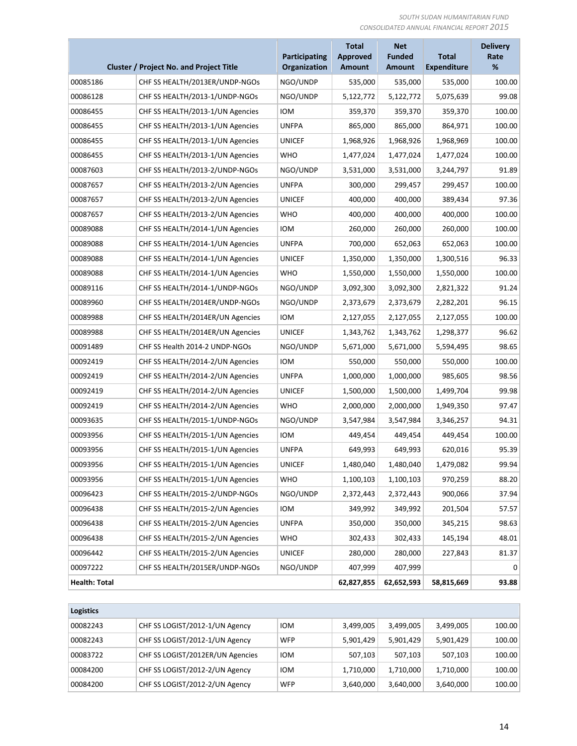|                      |                                                | <b>Participating</b> | <b>Total</b><br>Approved | <b>Net</b><br><b>Funded</b> | <b>Total</b>       | <b>Delivery</b><br>Rate<br>% |
|----------------------|------------------------------------------------|----------------------|--------------------------|-----------------------------|--------------------|------------------------------|
|                      | <b>Cluster / Project No. and Project Title</b> | Organization         | <b>Amount</b>            | <b>Amount</b>               | <b>Expenditure</b> |                              |
| 00085186             | CHF SS HEALTH/2013ER/UNDP-NGOS                 | NGO/UNDP             | 535,000                  | 535,000                     | 535,000            | 100.00                       |
| 00086128             | CHF SS HEALTH/2013-1/UNDP-NGOS                 | NGO/UNDP             | 5,122,772                | 5,122,772                   | 5,075,639          | 99.08                        |
| 00086455             | CHF SS HEALTH/2013-1/UN Agencies               | <b>IOM</b>           | 359,370                  | 359,370                     | 359,370            | 100.00                       |
| 00086455             | CHF SS HEALTH/2013-1/UN Agencies               | <b>UNFPA</b>         | 865,000                  | 865,000                     | 864,971            | 100.00                       |
| 00086455             | CHF SS HEALTH/2013-1/UN Agencies               | <b>UNICEF</b>        | 1,968,926                | 1,968,926                   | 1,968,969          | 100.00                       |
| 00086455             | CHF SS HEALTH/2013-1/UN Agencies               | <b>WHO</b>           | 1,477,024                | 1,477,024                   | 1,477,024          | 100.00                       |
| 00087603             | CHF SS HEALTH/2013-2/UNDP-NGOs                 | NGO/UNDP             | 3,531,000                | 3,531,000                   | 3,244,797          | 91.89                        |
| 00087657             | CHF SS HEALTH/2013-2/UN Agencies               | <b>UNFPA</b>         | 300,000                  | 299,457                     | 299,457            | 100.00                       |
| 00087657             | CHF SS HEALTH/2013-2/UN Agencies               | <b>UNICEF</b>        | 400,000                  | 400,000                     | 389,434            | 97.36                        |
| 00087657             | CHF SS HEALTH/2013-2/UN Agencies               | <b>WHO</b>           | 400,000                  | 400,000                     | 400,000            | 100.00                       |
| 00089088             | CHF SS HEALTH/2014-1/UN Agencies               | <b>IOM</b>           | 260,000                  | 260,000                     | 260,000            | 100.00                       |
| 00089088             | CHF SS HEALTH/2014-1/UN Agencies               | <b>UNFPA</b>         | 700,000                  | 652,063                     | 652,063            | 100.00                       |
| 00089088             | CHF SS HEALTH/2014-1/UN Agencies               | <b>UNICEF</b>        | 1,350,000                | 1,350,000                   | 1,300,516          | 96.33                        |
| 00089088             | CHF SS HEALTH/2014-1/UN Agencies               | <b>WHO</b>           | 1,550,000                | 1,550,000                   | 1,550,000          | 100.00                       |
| 00089116             | CHF SS HEALTH/2014-1/UNDP-NGOs                 | NGO/UNDP             | 3,092,300                | 3,092,300                   | 2,821,322          | 91.24                        |
| 00089960             | CHF SS HEALTH/2014ER/UNDP-NGOS                 | NGO/UNDP             | 2,373,679                | 2,373,679                   | 2,282,201          | 96.15                        |
| 00089988             | CHF SS HEALTH/2014ER/UN Agencies               | <b>IOM</b>           | 2,127,055                | 2,127,055                   | 2,127,055          | 100.00                       |
| 00089988             | CHF SS HEALTH/2014ER/UN Agencies               | <b>UNICEF</b>        | 1,343,762                | 1,343,762                   | 1,298,377          | 96.62                        |
| 00091489             | CHF SS Health 2014-2 UNDP-NGOs                 | NGO/UNDP             | 5,671,000                | 5,671,000                   | 5,594,495          | 98.65                        |
| 00092419             | CHF SS HEALTH/2014-2/UN Agencies               | <b>IOM</b>           | 550,000                  | 550,000                     | 550,000            | 100.00                       |
| 00092419             | CHF SS HEALTH/2014-2/UN Agencies               | <b>UNFPA</b>         | 1,000,000                | 1,000,000                   | 985,605            | 98.56                        |
| 00092419             | CHF SS HEALTH/2014-2/UN Agencies               | <b>UNICEF</b>        | 1,500,000                | 1,500,000                   | 1,499,704          | 99.98                        |
| 00092419             | CHF SS HEALTH/2014-2/UN Agencies               | <b>WHO</b>           | 2,000,000                | 2,000,000                   | 1,949,350          | 97.47                        |
| 00093635             | CHF SS HEALTH/2015-1/UNDP-NGOS                 | NGO/UNDP             | 3,547,984                | 3,547,984                   | 3,346,257          | 94.31                        |
| 00093956             | CHF SS HEALTH/2015-1/UN Agencies               | <b>IOM</b>           | 449,454                  | 449,454                     | 449,454            | 100.00                       |
| 00093956             | CHF SS HEALTH/2015-1/UN Agencies               | <b>UNFPA</b>         | 649,993                  | 649,993                     | 620,016            | 95.39                        |
| 00093956             | CHF SS HEALTH/2015-1/UN Agencies               | <b>UNICEF</b>        | 1,480,040                | 1,480,040                   | 1,479,082          | 99.94                        |
| 00093956             | CHF SS HEALTH/2015-1/UN Agencies               | <b>WHO</b>           | 1,100,103                | 1,100,103                   | 970,259            | 88.20                        |
| 00096423             | CHF SS HEALTH/2015-2/UNDP-NGOS                 | NGO/UNDP             | 2,372,443                | 2,372,443                   | 900,066            | 37.94                        |
| 00096438             | CHF SS HEALTH/2015-2/UN Agencies               | <b>IOM</b>           | 349,992                  | 349,992                     | 201,504            | 57.57                        |
| 00096438             | CHF SS HEALTH/2015-2/UN Agencies               | <b>UNFPA</b>         | 350,000                  | 350,000                     | 345,215            | 98.63                        |
| 00096438             | CHF SS HEALTH/2015-2/UN Agencies               | <b>WHO</b>           | 302,433                  | 302,433                     | 145,194            | 48.01                        |
| 00096442             | CHF SS HEALTH/2015-2/UN Agencies               | <b>UNICEF</b>        | 280,000                  | 280,000                     | 227,843            | 81.37                        |
| 00097222             | CHF SS HEALTH/2015ER/UNDP-NGOs                 | NGO/UNDP             | 407,999                  | 407,999                     |                    | 0                            |
| <b>Health: Total</b> |                                                |                      | 62,827,855               | 62,652,593                  | 58,815,669         | 93.88                        |

| <b>Logistics</b> |                                  |            |           |           |           |        |
|------------------|----------------------------------|------------|-----------|-----------|-----------|--------|
| 00082243         | CHF SS LOGIST/2012-1/UN Agency   | <b>IOM</b> | 3,499,005 | 3,499,005 | 3,499,005 | 100.00 |
| 00082243         | CHF SS LOGIST/2012-1/UN Agency   | <b>WFP</b> | 5,901,429 | 5,901,429 | 5,901,429 | 100.00 |
| 00083722         | CHF SS LOGIST/2012ER/UN Agencies | <b>IOM</b> | 507,103   | 507,103   | 507,103   | 100.00 |
| 00084200         | CHF SS LOGIST/2012-2/UN Agency   | <b>IOM</b> | 1,710,000 | 1,710,000 | 1,710,000 | 100.00 |
| 00084200         | CHF SS LOGIST/2012-2/UN Agency   | <b>WFP</b> | 3,640,000 | 3,640,000 | 3,640,000 | 100.00 |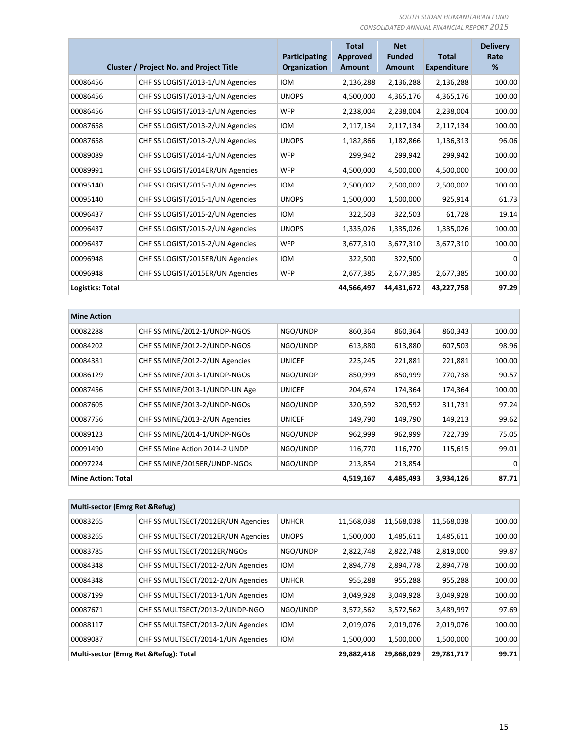|                         | <b>Cluster / Project No. and Project Title</b> | Participating<br>Organization | <b>Total</b><br><b>Approved</b><br><b>Amount</b> | <b>Net</b><br><b>Funded</b><br>Amount | <b>Total</b><br><b>Expenditure</b> | <b>Delivery</b><br>Rate<br>% |
|-------------------------|------------------------------------------------|-------------------------------|--------------------------------------------------|---------------------------------------|------------------------------------|------------------------------|
| 00086456                | CHF SS LOGIST/2013-1/UN Agencies               | <b>IOM</b>                    | 2,136,288                                        | 2,136,288                             | 2,136,288                          | 100.00                       |
| 00086456                | CHF SS LOGIST/2013-1/UN Agencies               | <b>UNOPS</b>                  | 4,500,000                                        | 4,365,176                             | 4,365,176                          | 100.00                       |
| 00086456                | CHF SS LOGIST/2013-1/UN Agencies               | <b>WFP</b>                    | 2,238,004                                        | 2,238,004                             | 2,238,004                          | 100.00                       |
| 00087658                | CHF SS LOGIST/2013-2/UN Agencies               | <b>IOM</b>                    | 2,117,134                                        | 2,117,134                             | 2,117,134                          | 100.00                       |
| 00087658                | CHF SS LOGIST/2013-2/UN Agencies               | <b>UNOPS</b>                  | 1,182,866                                        | 1,182,866                             | 1,136,313                          | 96.06                        |
| 00089089                | CHF SS LOGIST/2014-1/UN Agencies               | <b>WFP</b>                    | 299,942                                          | 299,942                               | 299,942                            | 100.00                       |
| 00089991                | CHF SS LOGIST/2014ER/UN Agencies               | <b>WFP</b>                    | 4,500,000                                        | 4,500,000                             | 4,500,000                          | 100.00                       |
| 00095140                | CHF SS LOGIST/2015-1/UN Agencies               | <b>IOM</b>                    | 2,500,002                                        | 2,500,002                             | 2,500,002                          | 100.00                       |
| 00095140                | CHF SS LOGIST/2015-1/UN Agencies               | <b>UNOPS</b>                  | 1,500,000                                        | 1,500,000                             | 925,914                            | 61.73                        |
| 00096437                | CHF SS LOGIST/2015-2/UN Agencies               | <b>IOM</b>                    | 322,503                                          | 322,503                               | 61,728                             | 19.14                        |
| 00096437                | CHF SS LOGIST/2015-2/UN Agencies               | <b>UNOPS</b>                  | 1,335,026                                        | 1,335,026                             | 1,335,026                          | 100.00                       |
| 00096437                | CHF SS LOGIST/2015-2/UN Agencies               | <b>WFP</b>                    | 3,677,310                                        | 3,677,310                             | 3,677,310                          | 100.00                       |
| 00096948                | CHF SS LOGIST/2015ER/UN Agencies               | <b>IOM</b>                    | 322,500                                          | 322,500                               |                                    | 0                            |
| 00096948                | CHF SS LOGIST/2015ER/UN Agencies               | <b>WFP</b>                    | 2,677,385                                        | 2,677,385                             | 2,677,385                          | 100.00                       |
| <b>Logistics: Total</b> |                                                |                               | 44,566,497                                       | 44,431,672                            | 43,227,758                         | 97.29                        |
| <b>Mine Action</b>      |                                                |                               |                                                  |                                       |                                    |                              |

| IIIII RAUDII              |                                |               |           |           |         |        |
|---------------------------|--------------------------------|---------------|-----------|-----------|---------|--------|
| 00082288                  | CHF SS MINE/2012-1/UNDP-NGOS   | NGO/UNDP      | 860,364   | 860,364   | 860,343 | 100.00 |
| 00084202                  | CHF SS MINE/2012-2/UNDP-NGOS   | NGO/UNDP      | 613,880   | 613,880   | 607,503 | 98.96  |
| 00084381                  | CHF SS MINE/2012-2/UN Agencies | <b>UNICEF</b> | 225,245   | 221,881   | 221,881 | 100.00 |
| 00086129                  | CHF SS MINE/2013-1/UNDP-NGOS   | NGO/UNDP      | 850,999   | 850,999   | 770,738 | 90.57  |
| 00087456                  | CHF SS MINE/2013-1/UNDP-UN Age | <b>UNICEF</b> | 204,674   | 174,364   | 174,364 | 100.00 |
| 00087605                  | CHF SS MINE/2013-2/UNDP-NGOs   | NGO/UNDP      | 320,592   | 320,592   | 311,731 | 97.24  |
| 00087756                  | CHF SS MINE/2013-2/UN Agencies | UNICEF        | 149,790   | 149,790   | 149,213 | 99.62  |
| 00089123                  | CHF SS MINE/2014-1/UNDP-NGOs   | NGO/UNDP      | 962,999   | 962,999   | 722,739 | 75.05  |
| 00091490                  | CHF SS Mine Action 2014-2 UNDP | NGO/UNDP      | 116,770   | 116,770   | 115,615 | 99.01  |
| 00097224                  | CHF SS MINE/2015ER/UNDP-NGOs   | NGO/UNDP      | 213,854   | 213,854   |         | 0      |
| <b>Mine Action: Total</b> |                                | 4,519,167     | 4,485,493 | 3,934,126 | 87.71   |        |

| Multi-sector (Emrg Ret & Refug)        |                                    |              |            |            |            |        |  |  |
|----------------------------------------|------------------------------------|--------------|------------|------------|------------|--------|--|--|
| 00083265                               | CHF SS MULTSECT/2012ER/UN Agencies | <b>UNHCR</b> | 11,568,038 | 11,568,038 | 11,568,038 | 100.00 |  |  |
| 00083265                               | CHF SS MULTSECT/2012ER/UN Agencies | <b>UNOPS</b> | 1,500,000  | 1,485,611  | 1,485,611  | 100.00 |  |  |
| 00083785                               | CHF SS MULTSECT/2012ER/NGOs        | NGO/UNDP     | 2,822,748  | 2,822,748  | 2,819,000  | 99.87  |  |  |
| 00084348                               | CHF SS MULTSECT/2012-2/UN Agencies | <b>IOM</b>   | 2,894,778  | 2,894,778  | 2,894,778  | 100.00 |  |  |
| 00084348                               | CHF SS MULTSECT/2012-2/UN Agencies | <b>UNHCR</b> | 955,288    | 955,288    | 955,288    | 100.00 |  |  |
| 00087199                               | CHF SS MULTSECT/2013-1/UN Agencies | <b>IOM</b>   | 3,049,928  | 3,049,928  | 3,049,928  | 100.00 |  |  |
| 00087671                               | CHF SS MULTSECT/2013-2/UNDP-NGO    | NGO/UNDP     | 3,572,562  | 3,572,562  | 3,489,997  | 97.69  |  |  |
| 00088117                               | CHF SS MULTSECT/2013-2/UN Agencies | <b>IOM</b>   | 2,019,076  | 2,019,076  | 2,019,076  | 100.00 |  |  |
| 00089087                               | CHF SS MULTSECT/2014-1/UN Agencies | <b>IOM</b>   | 1,500,000  | 1,500,000  | 1,500,000  | 100.00 |  |  |
| Multi-sector (Emrg Ret & Refug): Total |                                    |              | 29,882,418 | 29,868,029 | 29,781,717 | 99.71  |  |  |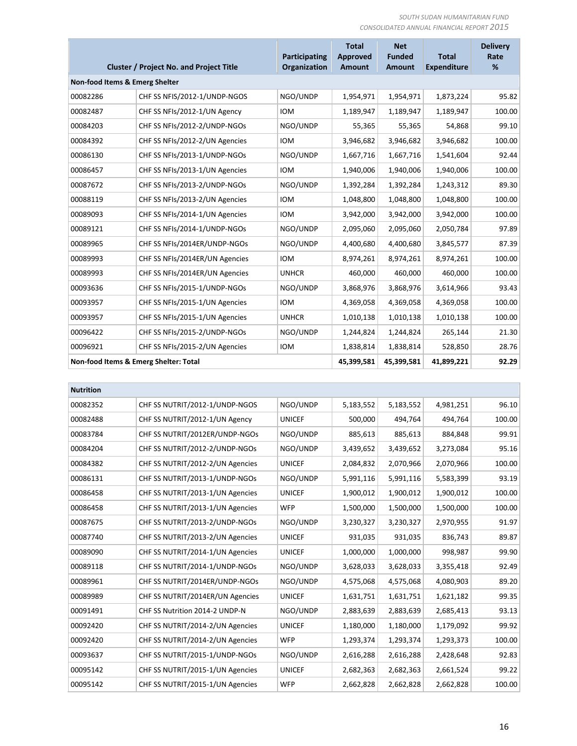|                                       | <b>Cluster / Project No. and Project Title</b> | Participating<br><b>Organization</b> | <b>Total</b><br>Approved<br><b>Amount</b> | <b>Net</b><br><b>Funded</b><br><b>Amount</b> | <b>Total</b><br><b>Expenditure</b> | <b>Delivery</b><br>Rate<br>% |
|---------------------------------------|------------------------------------------------|--------------------------------------|-------------------------------------------|----------------------------------------------|------------------------------------|------------------------------|
| Non-food Items & Emerg Shelter        |                                                |                                      |                                           |                                              |                                    |                              |
| 00082286                              | CHF SS NFIS/2012-1/UNDP-NGOS                   | NGO/UNDP                             | 1,954,971                                 | 1,954,971                                    | 1,873,224                          | 95.82                        |
| 00082487                              | CHF SS NFIs/2012-1/UN Agency                   | <b>IOM</b>                           | 1,189,947                                 | 1,189,947                                    | 1,189,947                          | 100.00                       |
| 00084203                              | CHF SS NFIs/2012-2/UNDP-NGOs                   | NGO/UNDP                             | 55,365                                    | 55,365                                       | 54,868                             | 99.10                        |
| 00084392                              | CHF SS NFIs/2012-2/UN Agencies                 | <b>IOM</b>                           | 3,946,682                                 | 3,946,682                                    | 3,946,682                          | 100.00                       |
| 00086130                              | CHF SS NFIs/2013-1/UNDP-NGOs                   | NGO/UNDP                             | 1,667,716                                 | 1,667,716                                    | 1,541,604                          | 92.44                        |
| 00086457                              | CHF SS NFIs/2013-1/UN Agencies                 | <b>IOM</b>                           | 1,940,006                                 | 1,940,006                                    | 1,940,006                          | 100.00                       |
| 00087672                              | CHF SS NFIs/2013-2/UNDP-NGOS                   | NGO/UNDP                             | 1,392,284                                 | 1,392,284                                    | 1,243,312                          | 89.30                        |
| 00088119                              | CHF SS NFIs/2013-2/UN Agencies                 | <b>IOM</b>                           | 1,048,800                                 | 1,048,800                                    | 1,048,800                          | 100.00                       |
| 00089093                              | CHF SS NFIs/2014-1/UN Agencies                 | <b>IOM</b>                           | 3,942,000                                 | 3,942,000                                    | 3,942,000                          | 100.00                       |
| 00089121                              | CHF SS NFIs/2014-1/UNDP-NGOS                   | NGO/UNDP                             | 2,095,060                                 | 2,095,060                                    | 2,050,784                          | 97.89                        |
| 00089965                              | CHF SS NFIs/2014ER/UNDP-NGOs                   | NGO/UNDP                             | 4,400,680                                 | 4,400,680                                    | 3,845,577                          | 87.39                        |
| 00089993                              | CHF SS NFIs/2014ER/UN Agencies                 | <b>IOM</b>                           | 8,974,261                                 | 8,974,261                                    | 8,974,261                          | 100.00                       |
| 00089993                              | CHF SS NFIs/2014ER/UN Agencies                 | <b>UNHCR</b>                         | 460,000                                   | 460,000                                      | 460,000                            | 100.00                       |
| 00093636                              | CHF SS NFIs/2015-1/UNDP-NGOs                   | NGO/UNDP                             | 3,868,976                                 | 3,868,976                                    | 3,614,966                          | 93.43                        |
| 00093957                              | CHF SS NFIs/2015-1/UN Agencies                 | <b>IOM</b>                           | 4,369,058                                 | 4,369,058                                    | 4,369,058                          | 100.00                       |
| 00093957                              | CHF SS NFIs/2015-1/UN Agencies                 | <b>UNHCR</b>                         | 1,010,138                                 | 1,010,138                                    | 1,010,138                          | 100.00                       |
| 00096422                              | CHF SS NFIs/2015-2/UNDP-NGOs                   | NGO/UNDP                             | 1,244,824                                 | 1,244,824                                    | 265,144                            | 21.30                        |
| 00096921                              | CHF SS NFIs/2015-2/UN Agencies                 | <b>IOM</b>                           | 1,838,814                                 | 1,838,814                                    | 528,850                            | 28.76                        |
| Non-food Items & Emerg Shelter: Total |                                                | 45,399,581                           | 45,399,581                                | 41,899,221                                   | 92.29                              |                              |

| CHF SS NUTRIT/2012-1/UNDP-NGOS   | NGO/UNDP      | 5,183,552 | 5,183,552 | 4,981,251 | 96.10  |
|----------------------------------|---------------|-----------|-----------|-----------|--------|
| CHF SS NUTRIT/2012-1/UN Agency   | <b>UNICEF</b> | 500,000   | 494,764   | 494,764   | 100.00 |
| CHF SS NUTRIT/2012ER/UNDP-NGOs   | NGO/UNDP      | 885,613   | 885,613   | 884,848   | 99.91  |
| CHF SS NUTRIT/2012-2/UNDP-NGOs   | NGO/UNDP      | 3,439,652 | 3,439,652 | 3,273,084 | 95.16  |
| CHF SS NUTRIT/2012-2/UN Agencies | <b>UNICEF</b> | 2,084,832 | 2,070,966 | 2,070,966 | 100.00 |
| CHF SS NUTRIT/2013-1/UNDP-NGOs   | NGO/UNDP      | 5,991,116 | 5,991,116 | 5,583,399 | 93.19  |
| CHF SS NUTRIT/2013-1/UN Agencies | <b>UNICEF</b> | 1,900,012 | 1,900,012 | 1,900,012 | 100.00 |
| CHF SS NUTRIT/2013-1/UN Agencies | <b>WFP</b>    | 1,500,000 | 1,500,000 | 1,500,000 | 100.00 |
| CHF SS NUTRIT/2013-2/UNDP-NGOs   | NGO/UNDP      | 3,230,327 | 3,230,327 | 2,970,955 | 91.97  |
| CHF SS NUTRIT/2013-2/UN Agencies | <b>UNICEF</b> | 931,035   | 931,035   | 836,743   | 89.87  |
| CHF SS NUTRIT/2014-1/UN Agencies | <b>UNICEF</b> | 1,000,000 | 1,000,000 | 998,987   | 99.90  |
| CHF SS NUTRIT/2014-1/UNDP-NGOs   | NGO/UNDP      | 3,628,033 | 3,628,033 | 3,355,418 | 92.49  |
| CHF SS NUTRIT/2014ER/UNDP-NGOs   | NGO/UNDP      | 4,575,068 | 4,575,068 | 4,080,903 | 89.20  |
| CHF SS NUTRIT/2014ER/UN Agencies | <b>UNICEF</b> | 1,631,751 | 1,631,751 | 1,621,182 | 99.35  |
| CHF SS Nutrition 2014-2 UNDP-N   | NGO/UNDP      | 2,883,639 | 2,883,639 | 2,685,413 | 93.13  |
| CHF SS NUTRIT/2014-2/UN Agencies | <b>UNICEF</b> | 1,180,000 | 1,180,000 | 1,179,092 | 99.92  |
| CHF SS NUTRIT/2014-2/UN Agencies | <b>WFP</b>    | 1,293,374 | 1,293,374 | 1,293,373 | 100.00 |
| CHF SS NUTRIT/2015-1/UNDP-NGOs   | NGO/UNDP      | 2,616,288 | 2,616,288 | 2,428,648 | 92.83  |
| CHF SS NUTRIT/2015-1/UN Agencies | <b>UNICEF</b> | 2,682,363 | 2,682,363 | 2,661,524 | 99.22  |
| CHF SS NUTRIT/2015-1/UN Agencies | <b>WFP</b>    | 2,662,828 | 2,662,828 | 2,662,828 | 100.00 |
|                                  |               |           |           |           |        |

л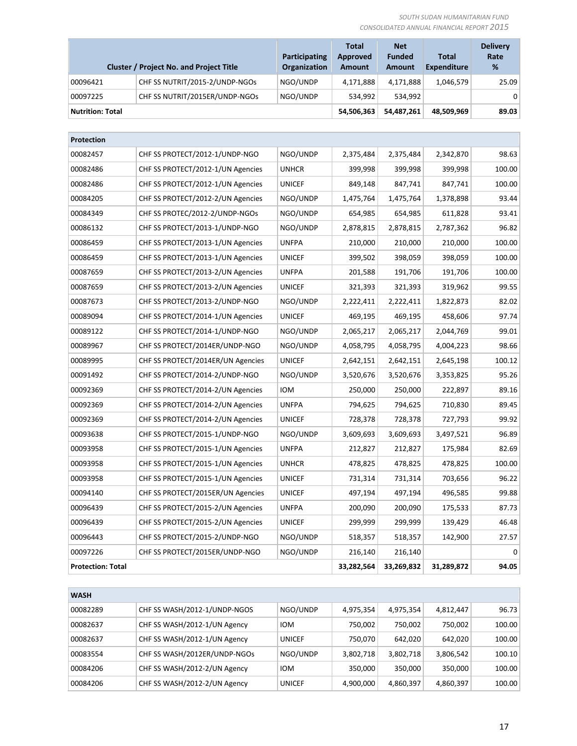|                         | <b>Cluster / Project No. and Project Title</b> | Participating<br><b>Organization</b> | <b>Total</b><br>Approved<br>Amount | <b>Net</b><br><b>Funded</b><br><b>Amount</b> | <b>Total</b><br><b>Expenditure</b> | <b>Delivery</b><br>Rate<br>% |
|-------------------------|------------------------------------------------|--------------------------------------|------------------------------------|----------------------------------------------|------------------------------------|------------------------------|
| 00096421                | CHF SS NUTRIT/2015-2/UNDP-NGOs                 | NGO/UNDP                             | 4,171,888                          | 4.171.888                                    | 1,046,579                          | 25.09                        |
| 00097225                | CHF SS NUTRIT/2015ER/UNDP-NGOs                 | NGO/UNDP                             | 534.992                            | 534.992                                      |                                    | $\Omega$                     |
| <b>Nutrition: Total</b> |                                                |                                      | 54,506,363                         | 54.487.261                                   | 48,509,969                         | 89.03                        |

| Protection               |                                   |               |            |            |            |          |
|--------------------------|-----------------------------------|---------------|------------|------------|------------|----------|
| 00082457                 | CHF SS PROTECT/2012-1/UNDP-NGO    | NGO/UNDP      | 2,375,484  | 2,375,484  | 2,342,870  | 98.63    |
| 00082486                 | CHF SS PROTECT/2012-1/UN Agencies | <b>UNHCR</b>  | 399,998    | 399,998    | 399,998    | 100.00   |
| 00082486                 | CHF SS PROTECT/2012-1/UN Agencies | <b>UNICEF</b> | 849,148    | 847,741    | 847,741    | 100.00   |
| 00084205                 | CHF SS PROTECT/2012-2/UN Agencies | NGO/UNDP      | 1,475,764  | 1,475,764  | 1,378,898  | 93.44    |
| 00084349                 | CHF SS PROTEC/2012-2/UNDP-NGOS    | NGO/UNDP      | 654,985    | 654,985    | 611,828    | 93.41    |
| 00086132                 | CHF SS PROTECT/2013-1/UNDP-NGO    | NGO/UNDP      | 2,878,815  | 2,878,815  | 2,787,362  | 96.82    |
| 00086459                 | CHF SS PROTECT/2013-1/UN Agencies | <b>UNFPA</b>  | 210,000    | 210,000    | 210,000    | 100.00   |
| 00086459                 | CHF SS PROTECT/2013-1/UN Agencies | <b>UNICEF</b> | 399,502    | 398,059    | 398,059    | 100.00   |
| 00087659                 | CHF SS PROTECT/2013-2/UN Agencies | <b>UNFPA</b>  | 201,588    | 191,706    | 191,706    | 100.00   |
| 00087659                 | CHF SS PROTECT/2013-2/UN Agencies | <b>UNICEF</b> | 321,393    | 321,393    | 319,962    | 99.55    |
| 00087673                 | CHF SS PROTECT/2013-2/UNDP-NGO    | NGO/UNDP      | 2,222,411  | 2,222,411  | 1,822,873  | 82.02    |
| 00089094                 | CHF SS PROTECT/2014-1/UN Agencies | <b>UNICEF</b> | 469,195    | 469,195    | 458,606    | 97.74    |
| 00089122                 | CHF SS PROTECT/2014-1/UNDP-NGO    | NGO/UNDP      | 2,065,217  | 2,065,217  | 2,044,769  | 99.01    |
| 00089967                 | CHF SS PROTECT/2014ER/UNDP-NGO    | NGO/UNDP      | 4,058,795  | 4,058,795  | 4,004,223  | 98.66    |
| 00089995                 | CHF SS PROTECT/2014ER/UN Agencies | <b>UNICEF</b> | 2,642,151  | 2,642,151  | 2,645,198  | 100.12   |
| 00091492                 | CHF SS PROTECT/2014-2/UNDP-NGO    | NGO/UNDP      | 3,520,676  | 3,520,676  | 3,353,825  | 95.26    |
| 00092369                 | CHF SS PROTECT/2014-2/UN Agencies | <b>IOM</b>    | 250,000    | 250,000    | 222,897    | 89.16    |
| 00092369                 | CHF SS PROTECT/2014-2/UN Agencies | <b>UNFPA</b>  | 794,625    | 794,625    | 710,830    | 89.45    |
| 00092369                 | CHF SS PROTECT/2014-2/UN Agencies | <b>UNICEF</b> | 728,378    | 728,378    | 727,793    | 99.92    |
| 00093638                 | CHF SS PROTECT/2015-1/UNDP-NGO    | NGO/UNDP      | 3,609,693  | 3,609,693  | 3,497,521  | 96.89    |
| 00093958                 | CHF SS PROTECT/2015-1/UN Agencies | <b>UNFPA</b>  | 212,827    | 212,827    | 175,984    | 82.69    |
| 00093958                 | CHF SS PROTECT/2015-1/UN Agencies | <b>UNHCR</b>  | 478,825    | 478,825    | 478,825    | 100.00   |
| 00093958                 | CHF SS PROTECT/2015-1/UN Agencies | <b>UNICEF</b> | 731,314    | 731,314    | 703,656    | 96.22    |
| 00094140                 | CHF SS PROTECT/2015ER/UN Agencies | <b>UNICEF</b> | 497,194    | 497,194    | 496,585    | 99.88    |
| 00096439                 | CHF SS PROTECT/2015-2/UN Agencies | <b>UNFPA</b>  | 200,090    | 200,090    | 175,533    | 87.73    |
| 00096439                 | CHF SS PROTECT/2015-2/UN Agencies | <b>UNICEF</b> | 299,999    | 299,999    | 139,429    | 46.48    |
| 00096443                 | CHF SS PROTECT/2015-2/UNDP-NGO    | NGO/UNDP      | 518,357    | 518,357    | 142,900    | 27.57    |
| 00097226                 | CHF SS PROTECT/2015ER/UNDP-NGO    | NGO/UNDP      | 216,140    | 216,140    |            | $\Omega$ |
| <b>Protection: Total</b> |                                   |               | 33,282,564 | 33,269,832 | 31,289,872 | 94.05    |

| <b>WASH</b> |                              |               |           |           |           |        |  |  |
|-------------|------------------------------|---------------|-----------|-----------|-----------|--------|--|--|
| 00082289    | CHF SS WASH/2012-1/UNDP-NGOS | NGO/UNDP      | 4,975,354 | 4,975,354 | 4,812,447 | 96.73  |  |  |
| 00082637    | CHF SS WASH/2012-1/UN Agency | <b>IOM</b>    | 750,002   | 750,002   | 750,002   | 100.00 |  |  |
| 00082637    | CHF SS WASH/2012-1/UN Agency | <b>UNICEF</b> | 750,070   | 642,020   | 642,020   | 100.00 |  |  |
| 00083554    | CHF SS WASH/2012ER/UNDP-NGOs | NGO/UNDP      | 3,802,718 | 3,802,718 | 3,806,542 | 100.10 |  |  |
| 00084206    | CHF SS WASH/2012-2/UN Agency | <b>IOM</b>    | 350,000   | 350,000   | 350,000   | 100.00 |  |  |
| 00084206    | CHF SS WASH/2012-2/UN Agency | <b>UNICEF</b> | 4,900,000 | 4,860,397 | 4,860,397 | 100.00 |  |  |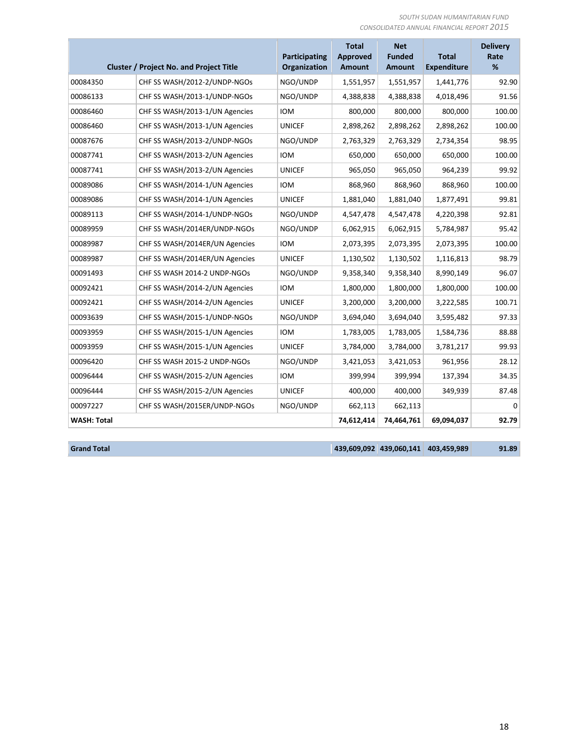|                    | <b>Cluster / Project No. and Project Title</b> | Participating<br>Organization | <b>Total</b><br><b>Approved</b><br><b>Amount</b> | <b>Net</b><br><b>Funded</b><br><b>Amount</b> | <b>Total</b><br><b>Expenditure</b> | <b>Delivery</b><br>Rate<br>% |
|--------------------|------------------------------------------------|-------------------------------|--------------------------------------------------|----------------------------------------------|------------------------------------|------------------------------|
| 00084350           | CHF SS WASH/2012-2/UNDP-NGOs                   | NGO/UNDP                      | 1,551,957                                        | 1,551,957                                    | 1,441,776                          | 92.90                        |
| 00086133           | CHF SS WASH/2013-1/UNDP-NGOs                   | NGO/UNDP                      | 4,388,838                                        | 4,388,838                                    | 4,018,496                          | 91.56                        |
| 00086460           | CHF SS WASH/2013-1/UN Agencies                 | <b>IOM</b>                    | 800,000                                          | 800,000                                      | 800,000                            | 100.00                       |
| 00086460           | CHF SS WASH/2013-1/UN Agencies                 | <b>UNICEF</b>                 | 2,898,262                                        | 2,898,262                                    | 2,898,262                          | 100.00                       |
| 00087676           | CHF SS WASH/2013-2/UNDP-NGOs                   | NGO/UNDP                      | 2,763,329                                        | 2,763,329                                    | 2,734,354                          | 98.95                        |
| 00087741           | CHF SS WASH/2013-2/UN Agencies                 | <b>IOM</b>                    | 650,000                                          | 650,000                                      | 650,000                            | 100.00                       |
| 00087741           | CHF SS WASH/2013-2/UN Agencies                 | <b>UNICEF</b>                 | 965,050                                          | 965,050                                      | 964,239                            | 99.92                        |
| 00089086           | CHF SS WASH/2014-1/UN Agencies                 | <b>IOM</b>                    | 868,960                                          | 868,960                                      | 868,960                            | 100.00                       |
| 00089086           | CHF SS WASH/2014-1/UN Agencies                 | <b>UNICEF</b>                 | 1,881,040                                        | 1,881,040                                    | 1,877,491                          | 99.81                        |
| 00089113           | CHF SS WASH/2014-1/UNDP-NGOs                   | NGO/UNDP                      | 4,547,478                                        | 4,547,478                                    | 4,220,398                          | 92.81                        |
| 00089959           | CHF SS WASH/2014ER/UNDP-NGOs                   | NGO/UNDP                      | 6,062,915                                        | 6,062,915                                    | 5,784,987                          | 95.42                        |
| 00089987           | CHF SS WASH/2014ER/UN Agencies                 | <b>IOM</b>                    | 2,073,395                                        | 2,073,395                                    | 2,073,395                          | 100.00                       |
| 00089987           | CHF SS WASH/2014ER/UN Agencies                 | <b>UNICEF</b>                 | 1,130,502                                        | 1,130,502                                    | 1,116,813                          | 98.79                        |
| 00091493           | CHF SS WASH 2014-2 UNDP-NGOs                   | NGO/UNDP                      | 9,358,340                                        | 9,358,340                                    | 8,990,149                          | 96.07                        |
| 00092421           | CHF SS WASH/2014-2/UN Agencies                 | <b>IOM</b>                    | 1,800,000                                        | 1,800,000                                    | 1,800,000                          | 100.00                       |
| 00092421           | CHF SS WASH/2014-2/UN Agencies                 | <b>UNICEF</b>                 | 3,200,000                                        | 3,200,000                                    | 3,222,585                          | 100.71                       |
| 00093639           | CHF SS WASH/2015-1/UNDP-NGOs                   | NGO/UNDP                      | 3,694,040                                        | 3,694,040                                    | 3,595,482                          | 97.33                        |
| 00093959           | CHF SS WASH/2015-1/UN Agencies                 | <b>IOM</b>                    | 1,783,005                                        | 1,783,005                                    | 1,584,736                          | 88.88                        |
| 00093959           | CHF SS WASH/2015-1/UN Agencies                 | <b>UNICEF</b>                 | 3,784,000                                        | 3,784,000                                    | 3,781,217                          | 99.93                        |
| 00096420           | CHF SS WASH 2015-2 UNDP-NGOs                   | NGO/UNDP                      | 3,421,053                                        | 3,421,053                                    | 961,956                            | 28.12                        |
| 00096444           | CHF SS WASH/2015-2/UN Agencies                 | <b>IOM</b>                    | 399,994                                          | 399,994                                      | 137,394                            | 34.35                        |
| 00096444           | CHF SS WASH/2015-2/UN Agencies                 | <b>UNICEF</b>                 | 400,000                                          | 400,000                                      | 349,939                            | 87.48                        |
| 00097227           | CHF SS WASH/2015ER/UNDP-NGOs                   | NGO/UNDP                      | 662,113                                          | 662,113                                      |                                    | $\Omega$                     |
| <b>WASH: Total</b> |                                                |                               | 74,612,414                                       | 74,464,761                                   | 69,094,037                         | 92.79                        |

**Grand Total 439,609,092 439,060,141 403,459,989 91.89**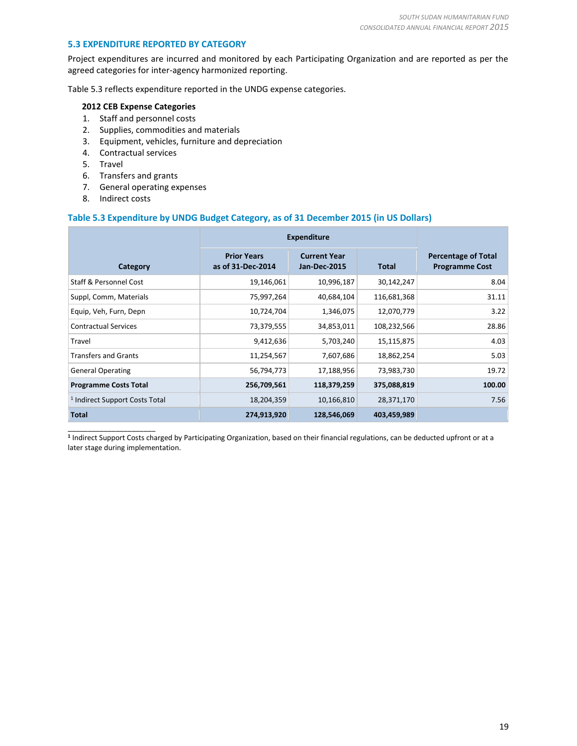#### **5.3 EXPENDITURE REPORTED BY CATEGORY**

Project expenditures are incurred and monitored by each Participating Organization and are reported as per the agreed categories for inter-agency harmonized reporting.

Table 5.3 reflects expenditure reported in the UNDG expense categories.

#### **2012 CEB Expense Categories**

- 1. Staff and personnel costs
- 2. Supplies, commodities and materials
- 3. Equipment, vehicles, furniture and depreciation
- 4. Contractual services
- 5. Travel
- 6. Transfers and grants
- 7. General operating expenses
- 8. Indirect costs

#### **Table 5.3 Expenditure by UNDG Budget Category, as of 31 December 2015 (in US Dollars)**

|                                           | <b>Expenditure</b>                      |                                            |              |                                                     |
|-------------------------------------------|-----------------------------------------|--------------------------------------------|--------------|-----------------------------------------------------|
| Category                                  | <b>Prior Years</b><br>as of 31-Dec-2014 | <b>Current Year</b><br><b>Jan-Dec-2015</b> | <b>Total</b> | <b>Percentage of Total</b><br><b>Programme Cost</b> |
| Staff & Personnel Cost                    | 19,146,061                              | 10,996,187                                 | 30,142,247   | 8.04                                                |
| Suppl, Comm, Materials                    | 75,997,264                              | 40,684,104                                 | 116,681,368  | 31.11                                               |
| Equip, Veh, Furn, Depn                    | 10,724,704                              | 1,346,075                                  | 12,070,779   | 3.22                                                |
| <b>Contractual Services</b>               | 73,379,555                              | 34,853,011                                 | 108,232,566  | 28.86                                               |
| Travel                                    | 9,412,636                               | 5,703,240                                  | 15,115,875   | 4.03                                                |
| <b>Transfers and Grants</b>               | 11,254,567                              | 7,607,686                                  | 18,862,254   | 5.03                                                |
| <b>General Operating</b>                  | 56,794,773                              | 17,188,956                                 | 73,983,730   | 19.72                                               |
| <b>Programme Costs Total</b>              | 256,709,561                             | 118,379,259                                | 375,088,819  | 100.00                                              |
| <sup>1</sup> Indirect Support Costs Total | 18,204,359                              | 10,166,810                                 | 28,371,170   | 7.56                                                |
| <b>Total</b>                              | 274,913,920                             | 128,546,069                                | 403,459,989  |                                                     |

\_\_\_\_\_\_\_\_\_\_\_\_\_\_\_\_\_\_\_\_\_\_ **1** Indirect Support Costs charged by Participating Organization, based on their financial regulations, can be deducted upfront or at a later stage during implementation.